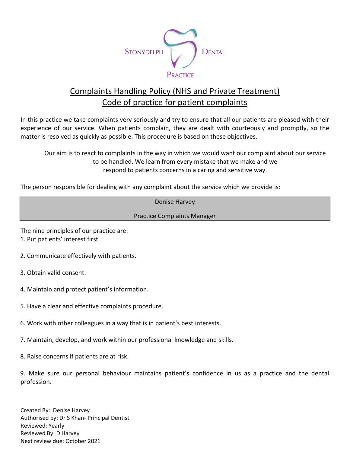

## Complaints Handling Policy (NHS and Private Treatment) Code of practice for patient complaints

In this practice we take complaints very seriously and try to ensure that all our patients are pleased with their experience of our service. When patients complain, they are dealt with courteously and promptly, so the matter is resolved as quickly as possible. This procedure is based on these objectives.

Our aim is to react to complaints in the way in which we would want our complaint about our service to be handled. We learn from every mistake that we make and we respond to patients concerns in a caring and sensitive way.

The person responsible for dealing with any complaint about the service which we provide is:

Denise Harvey

Practice Complaints Manager

The nine principles of our practice are:

1. Put patients' interest first.

- 2. Communicate effectively with patients.
- 3. Obtain valid consent.
- 4. Maintain and protect patient's information.
- 5. Have a clear and effective complaints procedure.
- 6. Work with other colleagues in a way that is in patient's best interests.
- 7. Maintain, develop, and work within our professional knowledge and skills.
- 8. Raise concerns if patients are at risk.

9. Make sure our personal behaviour maintains patient's confidence in us as a practice and the dental profession.

Created By: Denise Harvey Authorised by: Dr S Khan- Principal Dentist Reviewed: Yearly Reviewed By: D Harvey Next review due: October 2021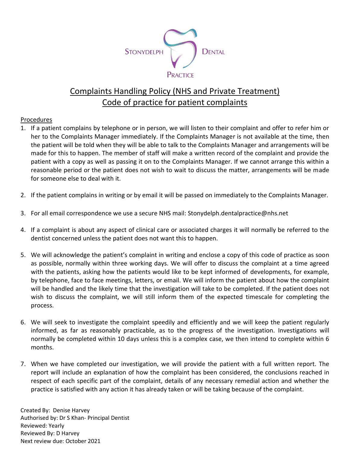

## Complaints Handling Policy (NHS and Private Treatment) Code of practice for patient complaints

## Procedures

- 1. If a patient complains by telephone or in person, we will listen to their complaint and offer to refer him or her to the Complaints Manager immediately. If the Complaints Manager is not available at the time, then the patient will be told when they will be able to talk to the Complaints Manager and arrangements will be made for this to happen. The member of staff will make a written record of the complaint and provide the patient with a copy as well as passing it on to the Complaints Manager. If we cannot arrange this within a reasonable period or the patient does not wish to wait to discuss the matter, arrangements will be made for someone else to deal with it.
- 2. If the patient complains in writing or by email it will be passed on immediately to the Complaints Manager.
- 3. For all email correspondence we use a secure NHS mail: Stonydelph.dentalpractice@nhs.net
- 4. If a complaint is about any aspect of clinical care or associated charges it will normally be referred to the dentist concerned unless the patient does not want this to happen.
- 5. We will acknowledge the patient's complaint in writing and enclose a copy of this code of practice as soon as possible, normally within three working days. We will offer to discuss the complaint at a time agreed with the patients, asking how the patients would like to be kept informed of developments, for example, by telephone, face to face meetings, letters, or email. We will inform the patient about how the complaint will be handled and the likely time that the investigation will take to be completed. If the patient does not wish to discuss the complaint, we will still inform them of the expected timescale for completing the process.
- 6. We will seek to investigate the complaint speedily and efficiently and we will keep the patient regularly informed, as far as reasonably practicable, as to the progress of the investigation. Investigations will normally be completed within 10 days unless this is a complex case, we then intend to complete within 6 months.
- 7. When we have completed our investigation, we will provide the patient with a full written report. The report will include an explanation of how the complaint has been considered, the conclusions reached in respect of each specific part of the complaint, details of any necessary remedial action and whether the practice is satisfied with any action it has already taken or will be taking because of the complaint.

Created By: Denise Harvey Authorised by: Dr S Khan- Principal Dentist Reviewed: Yearly Reviewed By: D Harvey Next review due: October 2021